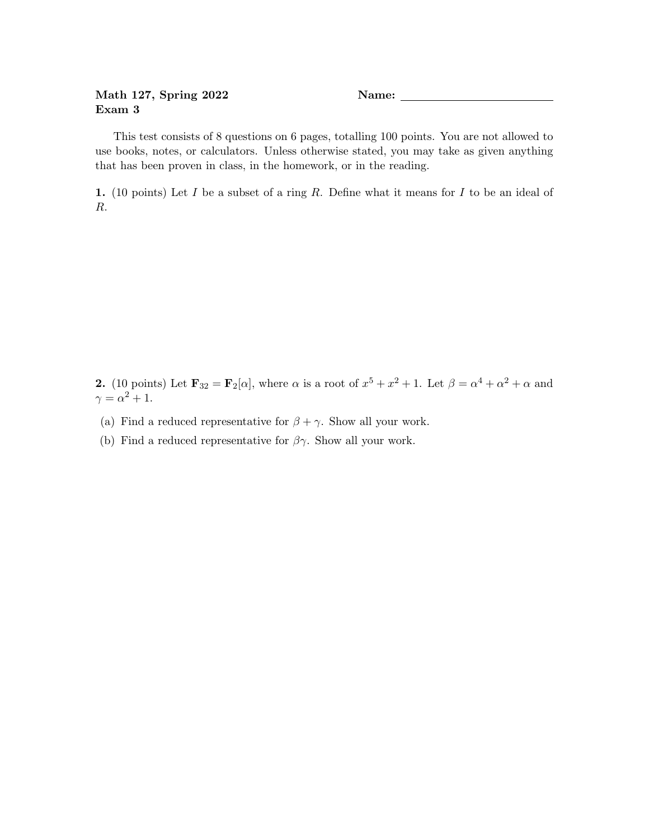## Math 127, Spring 2022 Name: Exam 3

This test consists of 8 questions on 6 pages, totalling 100 points. You are not allowed to use books, notes, or calculators. Unless otherwise stated, you may take as given anything that has been proven in class, in the homework, or in the reading.

1. (10 points) Let I be a subset of a ring R. Define what it means for I to be an ideal of R.

**2.** (10 points) Let  $\mathbf{F}_{32} = \mathbf{F}_2[\alpha]$ , where  $\alpha$  is a root of  $x^5 + x^2 + 1$ . Let  $\beta = \alpha^4 + \alpha^2 + \alpha$  and  $\gamma = \alpha^2 + 1.$ 

- (a) Find a reduced representative for  $\beta + \gamma$ . Show all your work.
- (b) Find a reduced representative for  $\beta\gamma$ . Show all your work.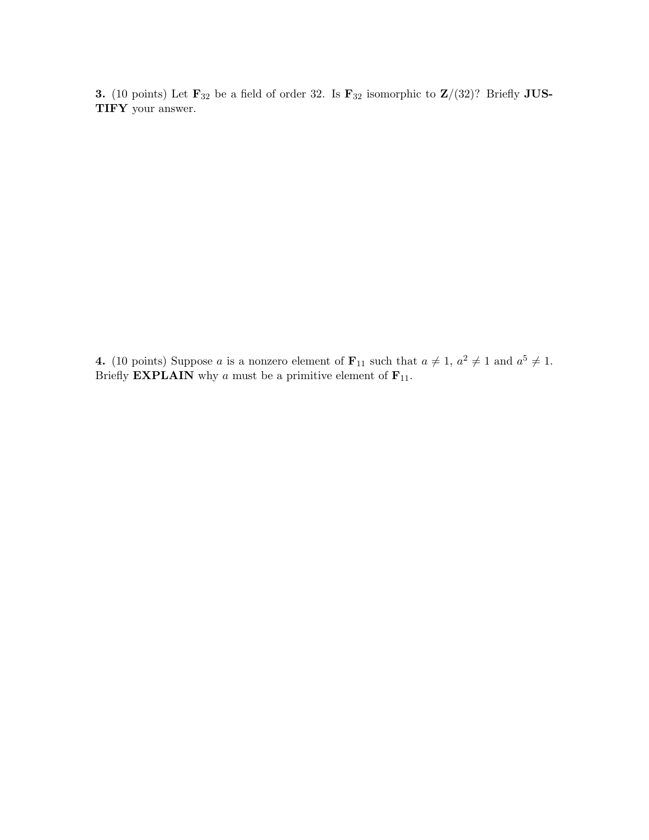3. (10 points) Let  $\mathbf{F}_{32}$  be a field of order 32. Is  $\mathbf{F}_{32}$  isomorphic to  $\mathbf{Z}/(32)$ ? Briefly JUS-TIFY your answer.

**4.** (10 points) Suppose a is a nonzero element of  $\mathbf{F}_{11}$  such that  $a \neq 1$ ,  $a^2 \neq 1$  and  $a^5 \neq 1$ . Briefly **EXPLAIN** why a must be a primitive element of  $\mathbf{F}_{11}$ .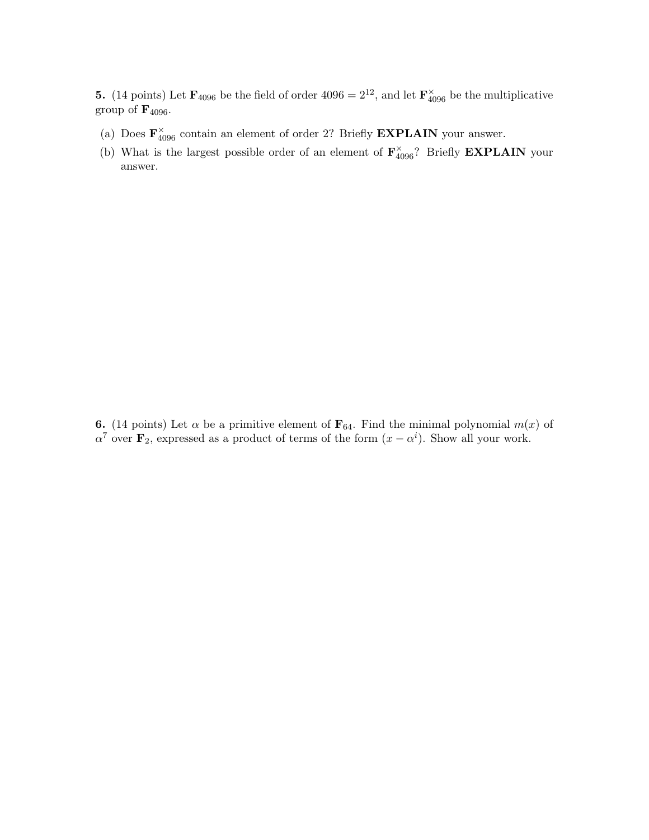**5.** (14 points) Let  $\mathbf{F}_{4096}$  be the field of order  $4096 = 2^{12}$ , and let  $\mathbf{F}_{4096}^{\times}$  be the multiplicative group of  $\mathbf{F}_{4096}$ .

- (a) Does  $\mathbf{F}_{4096}^{\times}$  contain an element of order 2? Briefly **EXPLAIN** your answer.
- (b) What is the largest possible order of an element of  $\mathbf{F}_{4096}^{\times}$ ? Briefly **EXPLAIN** your answer.

6. (14 points) Let  $\alpha$  be a primitive element of  $\mathbf{F}_{64}$ . Find the minimal polynomial  $m(x)$  of  $\alpha^7$  over  $\mathbf{F}_2$ , expressed as a product of terms of the form  $(x - \alpha^i)$ . Show all your work.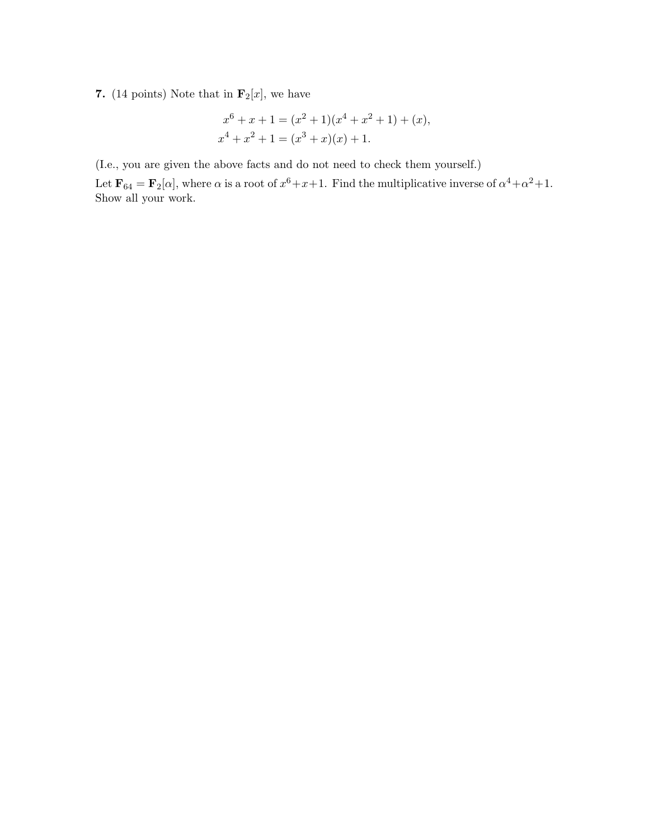## 7. (14 points) Note that in  $\mathbf{F}_2[x]$ , we have

$$
x^{6} + x + 1 = (x^{2} + 1)(x^{4} + x^{2} + 1) + (x),
$$
  

$$
x^{4} + x^{2} + 1 = (x^{3} + x)(x) + 1.
$$

(I.e., you are given the above facts and do not need to check them yourself.)

Let  $\mathbf{F}_{64} = \mathbf{F}_2[\alpha]$ , where  $\alpha$  is a root of  $x^6 + x + 1$ . Find the multiplicative inverse of  $\alpha^4 + \alpha^2 + 1$ . Show all your work.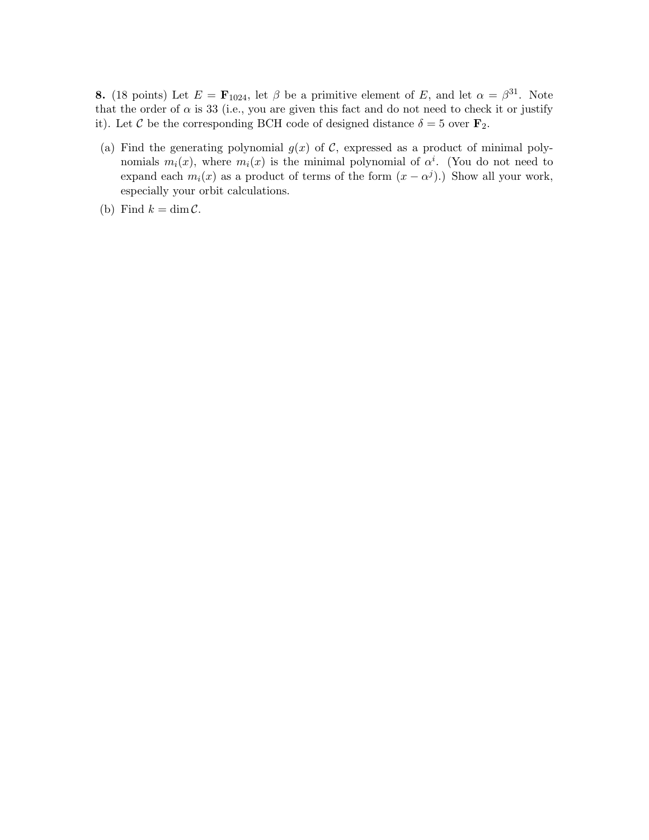**8.** (18 points) Let  $E = \mathbf{F}_{1024}$ , let  $\beta$  be a primitive element of E, and let  $\alpha = \beta^{31}$ . Note that the order of  $\alpha$  is 33 (i.e., you are given this fact and do not need to check it or justify it). Let C be the corresponding BCH code of designed distance  $\delta = 5$  over  $\mathbf{F}_2$ .

- (a) Find the generating polynomial  $g(x)$  of C, expressed as a product of minimal polynomials  $m_i(x)$ , where  $m_i(x)$  is the minimal polynomial of  $\alpha^i$ . (You do not need to expand each  $m_i(x)$  as a product of terms of the form  $(x - \alpha^j)$ . Show all your work, especially your orbit calculations.
- (b) Find  $k = \dim \mathcal{C}$ .